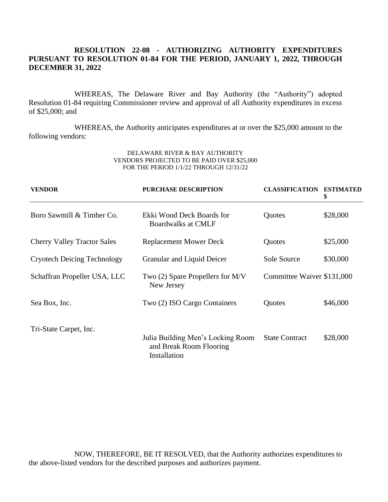# **RESOLUTION 22-08 - AUTHORIZING AUTHORITY EXPENDITURES PURSUANT TO RESOLUTION 01-84 FOR THE PERIOD, JANUARY 1, 2022, THROUGH DECEMBER 31, 2022**

WHEREAS, The Delaware River and Bay Authority (the "Authority") adopted Resolution 01-84 requiring Commissioner review and approval of all Authority expenditures in excess of \$25,000; and

WHEREAS, the Authority anticipates expenditures at or over the \$25,000 amount to the following vendors:

### DELAWARE RIVER & BAY AUTHORITY VENDORS PROJECTED TO BE PAID OVER \$25,000 FOR THE PERIOD 1/1/22 THROUGH 12/31/22

| <b>VENDOR</b>                      | <b>PURCHASE DESCRIPTION</b>                                                  | <b>CLASSIFICATION ESTIMATED</b> | \$       |
|------------------------------------|------------------------------------------------------------------------------|---------------------------------|----------|
| Boro Sawmill & Timber Co.          | Ekki Wood Deck Boards for<br><b>Boardwalks at CMLF</b>                       | Quotes                          | \$28,000 |
| <b>Cherry Valley Tractor Sales</b> | <b>Replacement Mower Deck</b>                                                | Quotes                          | \$25,000 |
| <b>Cryotech Deicing Technology</b> | Granular and Liquid Deicer                                                   | Sole Source                     | \$30,000 |
| Schaffran Propeller USA, LLC       | Two (2) Spare Propellers for M/V<br>New Jersey                               | Committee Waiver \$131,000      |          |
| Sea Box, Inc.                      | Two (2) ISO Cargo Containers                                                 | Quotes                          | \$46,000 |
| Tri-State Carpet, Inc.             | Julia Building Men's Locking Room<br>and Break Room Flooring<br>Installation | <b>State Contract</b>           | \$28,000 |

NOW, THEREFORE, BE IT RESOLVED, that the Authority authorizes expenditures to the above-listed vendors for the described purposes and authorizes payment.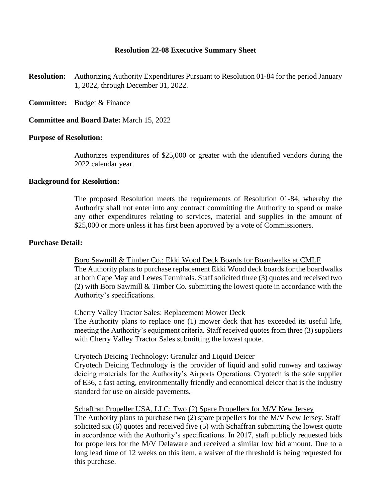# **Resolution 22-08 Executive Summary Sheet**

- **Resolution:** Authorizing Authority Expenditures Pursuant to Resolution 01-84 for the period January 1, 2022, through December 31, 2022.
- **Committee:** Budget & Finance
- **Committee and Board Date:** March 15, 2022

## **Purpose of Resolution:**

Authorizes expenditures of \$25,000 or greater with the identified vendors during the 2022 calendar year.

## **Background for Resolution:**

The proposed Resolution meets the requirements of Resolution 01-84, whereby the Authority shall not enter into any contract committing the Authority to spend or make any other expenditures relating to services, material and supplies in the amount of \$25,000 or more unless it has first been approved by a vote of Commissioners.

## **Purchase Detail:**

Boro Sawmill & Timber Co.: Ekki Wood Deck Boards for Boardwalks at CMLF The Authority plans to purchase replacement Ekki Wood deck boards for the boardwalks at both Cape May and Lewes Terminals. Staff solicited three (3) quotes and received two (2) with Boro Sawmill & Timber Co. submitting the lowest quote in accordance with the Authority's specifications.

#### Cherry Valley Tractor Sales: Replacement Mower Deck

The Authority plans to replace one (1) mower deck that has exceeded its useful life, meeting the Authority's equipment criteria. Staff received quotes from three (3) suppliers with Cherry Valley Tractor Sales submitting the lowest quote.

## Cryotech Deicing Technology: Granular and Liquid Deicer

Cryotech Deicing Technology is the provider of liquid and solid runway and taxiway deicing materials for the Authority's Airports Operations. Cryotech is the sole supplier of E36, a fast acting, environmentally friendly and economical deicer that is the industry standard for use on airside pavements.

### Schaffran Propeller USA, LLC: Two (2) Spare Propellers for M/V New Jersey

The Authority plans to purchase two (2) spare propellers for the M/V New Jersey. Staff solicited six (6) quotes and received five (5) with Schaffran submitting the lowest quote in accordance with the Authority's specifications. In 2017, staff publicly requested bids for propellers for the M/V Delaware and received a similar low bid amount. Due to a long lead time of 12 weeks on this item, a waiver of the threshold is being requested for this purchase.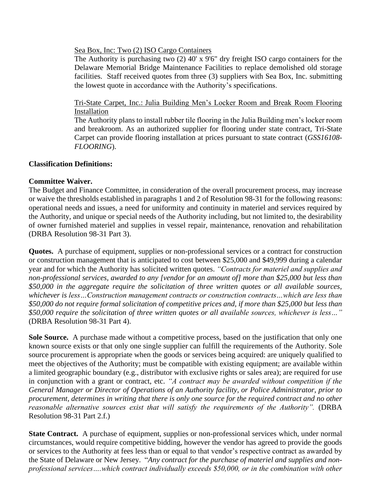Sea Box, Inc: Two (2) ISO Cargo Containers

The Authority is purchasing two (2) 40' x 9'6" dry freight ISO cargo containers for the Delaware Memorial Bridge Maintenance Facilities to replace demolished old storage facilities. Staff received quotes from three (3) suppliers with Sea Box, Inc. submitting the lowest quote in accordance with the Authority's specifications.

Tri-State Carpet, Inc.: Julia Building Men's Locker Room and Break Room Flooring Installation

The Authority plans to install rubber tile flooring in the Julia Building men's locker room and breakroom. As an authorized supplier for flooring under state contract, Tri-State Carpet can provide flooring installation at prices pursuant to state contract (*GSS16108- FLOORING*).

# **Classification Definitions:**

# **Committee Waiver.**

The Budget and Finance Committee, in consideration of the overall procurement process, may increase or waive the thresholds established in paragraphs 1 and 2 of Resolution 98-31 for the following reasons: operational needs and issues, a need for uniformity and continuity in materiel and services required by the Authority, and unique or special needs of the Authority including, but not limited to, the desirability of owner furnished materiel and supplies in vessel repair, maintenance, renovation and rehabilitation (DRBA Resolution 98-31 Part 3).

**Quotes.** A purchase of equipment, supplies or non-professional services or a contract for construction or construction management that is anticipated to cost between \$25,000 and \$49,999 during a calendar year and for which the Authority has solicited written quotes. *"Contracts for materiel and supplies and non-professional services, awarded to any [vendor for an amount of] more than \$25,000 but less than \$50,000 in the aggregate require the solicitation of three written quotes or all available sources, whichever is less…Construction management contracts or construction contracts…which are less than \$50,000 do not require formal solicitation of competitive prices and, if more than \$25,000 but less than \$50,000 require the solicitation of three written quotes or all available sources, whichever is less…"*  (DRBA Resolution 98-31 Part 4).

**Sole Source.** A purchase made without a competitive process, based on the justification that only one known source exists or that only one single supplier can fulfill the requirements of the Authority. Sole source procurement is appropriate when the goods or services being acquired: are uniquely qualified to meet the objectives of the Authority; must be compatible with existing equipment; are available within a limited geographic boundary (e.g., distributor with exclusive rights or sales area); are required for use in conjunction with a grant or contract, etc. *"A contract may be awarded without competition if the General Manager or Director of Operations of an Authority facility, or Police Administrator, prior to procurement, determines in writing that there is only one source for the required contract and no other reasonable alternative sources exist that will satisfy the requirements of the Authority".* (DRBA Resolution 98-31 Part 2.f.)

**State Contract.** A purchase of equipment, supplies or non-professional services which, under normal circumstances, would require competitive bidding, however the vendor has agreed to provide the goods or services to the Authority at fees less than or equal to that vendor's respective contract as awarded by the State of Delaware or New Jersey. "*Any contract for the purchase of materiel and supplies and nonprofessional services….which contract individually exceeds \$50,000, or in the combination with other*